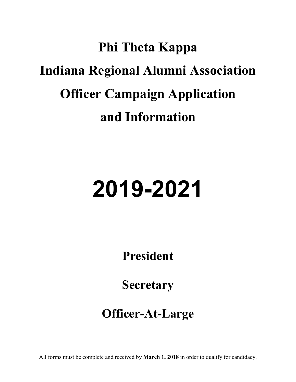## **Phi Theta Kappa Indiana Regional Alumni Association Officer Campaign Application and Information**

# **2019-2021**

**President**

**Secretary**

### **Officer-At-Large**

All forms must be complete and received by **March 1, 2018** in order to qualify for candidacy.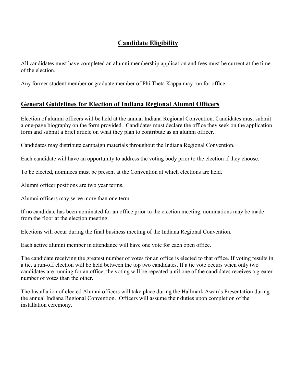#### **Candidate Eligibility**

All candidates must have completed an alumni membership application and fees must be current at the time of the election.

Any former student member or graduate member of Phi Theta Kappa may run for office.

#### **General Guidelines for Election of Indiana Regional Alumni Officers**

Election of alumni officers will be held at the annual Indiana Regional Convention. Candidates must submit a one-page biography on the form provided. Candidates must declare the office they seek on the application form and submit a brief article on what they plan to contribute as an alumni officer.

Candidates may distribute campaign materials throughout the Indiana Regional Convention.

Each candidate will have an opportunity to address the voting body prior to the election if they choose.

To be elected, nominees must be present at the Convention at which elections are held.

Alumni officer positions are two year terms.

Alumni officers may serve more than one term.

If no candidate has been nominated for an office prior to the election meeting, nominations may be made from the floor at the election meeting.

Elections will occur during the final business meeting of the Indiana Regional Convention.

Each active alumni member in attendance will have one vote for each open office.

The candidate receiving the greatest number of votes for an office is elected to that office. If voting results in a tie, a run-off election will be held between the top two candidates. If a tie vote occurs when only two candidates are running for an office, the voting will be repeated until one of the candidates receives a greater number of votes than the other.

The Installation of elected Alumni officers will take place during the Hallmark Awards Presentation during the annual Indiana Regional Convention. Officers will assume their duties upon completion of the installation ceremony.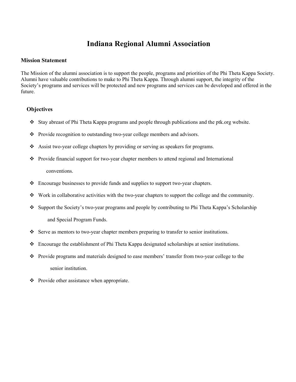#### **Indiana Regional Alumni Association**

#### **Mission Statement**

The Mission of the alumni association is to support the people, programs and priorities of the Phi Theta Kappa Society. Alumni have valuable contributions to make to Phi Theta Kappa. Through alumni support, the integrity of the Society's programs and services will be protected and new programs and services can be developed and offered in the future.

#### **Objectives**

- Stay abreast of Phi Theta Kappa programs and people through publications and the ptk.org website.
- \* Provide recognition to outstanding two-year college members and advisors.
- Assist two-year college chapters by providing or serving as speakers for programs.
- Provide financial support for two-year chapter members to attend regional and International conventions.
- Encourage businesses to provide funds and supplies to support two-year chapters.
- Work in collaborative activities with the two-year chapters to support the college and the community.
- Support the Society's two-year programs and people by contributing to Phi Theta Kappa's Scholarship and Special Program Funds.
- Serve as mentors to two-year chapter members preparing to transfer to senior institutions.
- Encourage the establishment of Phi Theta Kappa designated scholarships at senior institutions.
- Provide programs and materials designed to ease members' transfer from two-year college to the senior institution.
- $\bullet$  Provide other assistance when appropriate.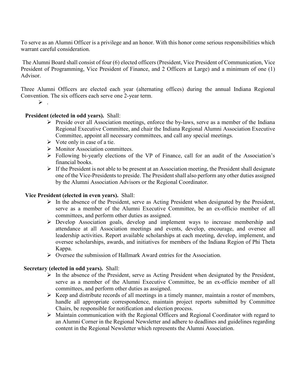To serve as an Alumni Officer is a privilege and an honor. With this honor come serious responsibilities which warrant careful consideration.

The Alumni Board shall consist of four (6) elected officers (President, Vice President of Communication, Vice President of Programming, Vice President of Finance, and 2 Officers at Large) and a minimum of one (1) Advisor.

Three Alumni Officers are elected each year (alternating offices) during the annual Indiana Regional Convention. The six officers each serve one 2-year term.

 $\triangleright$  .

#### **President (elected in odd years).** Shall:

- $\triangleright$  Preside over all Association meetings, enforce the by-laws, serve as a member of the Indiana Regional Executive Committee, and chair the Indiana Regional Alumni Association Executive Committee, appoint all necessary committees, and call any special meetings.
- $\triangleright$  Vote only in case of a tie.
- $\triangleright$  Monitor Association committees.
- Following bi-yearly elections of the VP of Finance, call for an audit of the Association's financial books.
- $\triangleright$  If the President is not able to be present at an Association meeting, the President shall designate one of the Vice-Presidents to preside. The President shall also perform any other duties assigned by the Alumni Association Advisors or the Regional Coordinator.

#### **Vice President (elected in even years).** Shall:

- $\triangleright$  In the absence of the President, serve as Acting President when designated by the President, serve as a member of the Alumni Executive Committee, be an ex-officio member of all committees, and perform other duties as assigned.
- Develop Association goals, develop and implement ways to increase membership and attendance at all Association meetings and events, develop, encourage, and oversee all leadership activities. Report available scholarships at each meeting, develop, implement, and oversee scholarships, awards, and initiatives for members of the Indiana Region of Phi Theta Kappa.
- $\triangleright$  Oversee the submission of Hallmark Award entries for the Association.

#### **Secretary (elected in odd years).** Shall:

- $\triangleright$  In the absence of the President, serve as Acting President when designated by the President, serve as a member of the Alumni Executive Committee, be an ex-officio member of all committees, and perform other duties as assigned.
- $\triangleright$  Keep and distribute records of all meetings in a timely manner, maintain a roster of members, handle all appropriate correspondence, maintain project reports submitted by Committee Chairs, be responsible for notification and election process.
- $\triangleright$  Maintain communication with the Regional Officers and Regional Coordinator with regard to an Alumni Corner in the Regional Newsletter and adhere to deadlines and guidelines regarding content in the Regional Newsletter which represents the Alumni Association.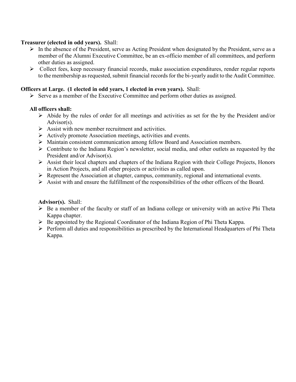#### **Treasurer (elected in odd years).** Shall:

- $\triangleright$  In the absence of the President, serve as Acting President when designated by the President, serve as a member of the Alumni Executive Committee, be an ex-officio member of all committees, and perform other duties as assigned.
- $\triangleright$  Collect fees, keep necessary financial records, make association expenditures, render regular reports to the membership as requested, submit financial records for the bi-yearly audit to the Audit Committee.

#### **Officers at Large. (1 elected in odd years, 1 elected in even years).** Shall:

 $\triangleright$  Serve as a member of the Executive Committee and perform other duties as assigned.

#### **All officers shall:**

- $\triangleright$  Abide by the rules of order for all meetings and activities as set for the by the President and/or Advisor(s).
- $\triangleright$  Assist with new member recruitment and activities.
- $\triangleright$  Actively promote Association meetings, activities and events.
- Maintain consistent communication among fellow Board and Association members.
- $\triangleright$  Contribute to the Indiana Region's newsletter, social media, and other outlets as requested by the President and/or Advisor(s).
- $\triangleright$  Assist their local chapters and chapters of the Indiana Region with their College Projects, Honors in Action Projects, and all other projects or activities as called upon.
- $\triangleright$  Represent the Association at chapter, campus, community, regional and international events.
- $\triangleright$  Assist with and ensure the fulfillment of the responsibilities of the other officers of the Board.

#### **Advisor(s).** Shall:

- $\triangleright$  Be a member of the faculty or staff of an Indiana college or university with an active Phi Theta Kappa chapter.
- $\triangleright$  Be appointed by the Regional Coordinator of the Indiana Region of Phi Theta Kappa.
- $\triangleright$  Perform all duties and responsibilities as prescribed by the International Headquarters of Phi Theta Kappa.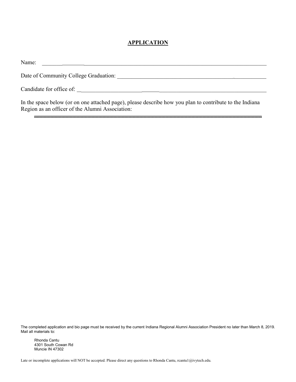#### **APPLICATION**

| Name:                                                                                                   |
|---------------------------------------------------------------------------------------------------------|
| Date of Community College Graduation:                                                                   |
| Candidate for office of:                                                                                |
| In the space below (or on one attached page), please describe how you plan to contribute to the Indiana |

In the space below (or on one attached page), please describe how you plan to contribute to the Indiana Region as an officer of the Alumni Association:

The completed application and bio page must be received by the current Indiana Regional Alumni Association President no later than March 8, 2019. Mail all materials to:

Rhonda Cantu 4301 South Cowan Rd Muncie IN 47302

Late or incomplete applications will NOT be accepted. Please direct any questions to Rhonda Cantu, rcantu1@ivytech.edu.